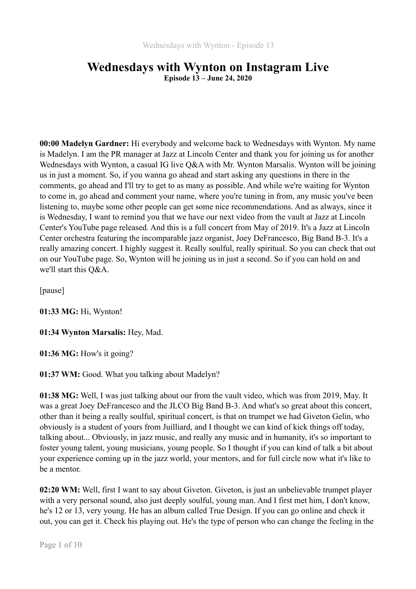# **Wednesdays with Wynton on Instagram Live Episode 13 – June 24, 2020**

**00:00 Madelyn Gardner:** Hi everybody and welcome back to Wednesdays with Wynton. My name is Madelyn. I am the PR manager at Jazz at Lincoln Center and thank you for joining us for another Wednesdays with Wynton, a casual IG live O&A with Mr. Wynton Marsalis. Wynton will be joining us in just a moment. So, if you wanna go ahead and start asking any questions in there in the comments, go ahead and I'll try to get to as many as possible. And while we're waiting for Wynton to come in, go ahead and comment your name, where you're tuning in from, any music you've been listening to, maybe some other people can get some nice recommendations. And as always, since it is Wednesday, I want to remind you that we have our next video from the vault at Jazz at Lincoln Center's YouTube page released. And this is a full concert from May of 2019. It's a Jazz at Lincoln Center orchestra featuring the incomparable jazz organist, Joey DeFrancesco, Big Band B-3. It's a really amazing concert. I highly suggest it. Really soulful, really spiritual. So you can check that out on our YouTube page. So, Wynton will be joining us in just a second. So if you can hold on and we'll start this Q&A.

[pause]

**01:33 MG:** Hi, Wynton!

**01:34 Wynton Marsalis:** Hey, Mad.

**01:36 MG:** How's it going?

**01:37 WM:** Good. What you talking about Madelyn?

**01:38 MG:** Well, I was just talking about our from the vault video, which was from 2019, May. It was a great Joey DeFrancesco and the JLCO Big Band B-3. And what's so great about this concert, other than it being a really soulful, spiritual concert, is that on trumpet we had Giveton Gelin, who obviously is a student of yours from Juilliard, and I thought we can kind of kick things off today, talking about... Obviously, in jazz music, and really any music and in humanity, it's so important to foster young talent, young musicians, young people. So I thought if you can kind of talk a bit about your experience coming up in the jazz world, your mentors, and for full circle now what it's like to be a mentor.

**02:20 WM:** Well, first I want to say about Giveton. Giveton, is just an unbelievable trumpet player with a very personal sound, also just deeply soulful, young man. And I first met him, I don't know, he's 12 or 13, very young. He has an album called True Design. If you can go online and check it out, you can get it. Check his playing out. He's the type of person who can change the feeling in the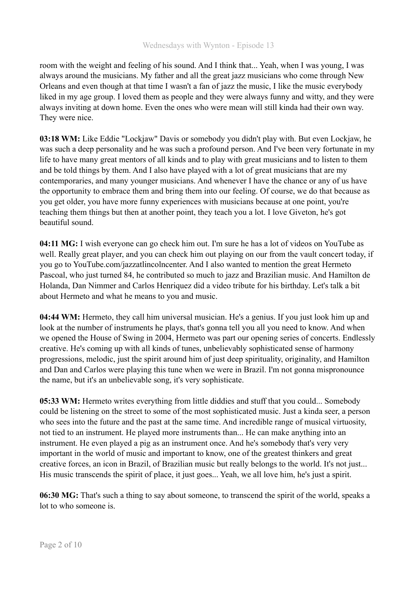room with the weight and feeling of his sound. And I think that... Yeah, when I was young, I was always around the musicians. My father and all the great jazz musicians who come through New Orleans and even though at that time I wasn't a fan of jazz the music, I like the music everybody liked in my age group. I loved them as people and they were always funny and witty, and they were always inviting at down home. Even the ones who were mean will still kinda had their own way. They were nice.

**03:18 WM:** Like Eddie "Lockjaw" Davis or somebody you didn't play with. But even Lockjaw, he was such a deep personality and he was such a profound person. And I've been very fortunate in my life to have many great mentors of all kinds and to play with great musicians and to listen to them and be told things by them. And I also have played with a lot of great musicians that are my contemporaries, and many younger musicians. And whenever I have the chance or any of us have the opportunity to embrace them and bring them into our feeling. Of course, we do that because as you get older, you have more funny experiences with musicians because at one point, you're teaching them things but then at another point, they teach you a lot. I love Giveton, he's got beautiful sound.

**04:11 MG:** I wish everyone can go check him out. I'm sure he has a lot of videos on YouTube as well. Really great player, and you can check him out playing on our from the vault concert today, if you go to YouTube.com/jazzatlincolncenter. And I also wanted to mention the great Hermeto Pascoal, who just turned 84, he contributed so much to jazz and Brazilian music. And Hamilton de Holanda, Dan Nimmer and Carlos Henriquez did a video tribute for his birthday. Let's talk a bit about Hermeto and what he means to you and music.

**04:44 WM:** Hermeto, they call him universal musician. He's a genius. If you just look him up and look at the number of instruments he plays, that's gonna tell you all you need to know. And when we opened the House of Swing in 2004, Hermeto was part our opening series of concerts. Endlessly creative. He's coming up with all kinds of tunes, unbelievably sophisticated sense of harmony progressions, melodic, just the spirit around him of just deep spirituality, originality, and Hamilton and Dan and Carlos were playing this tune when we were in Brazil. I'm not gonna mispronounce the name, but it's an unbelievable song, it's very sophisticate.

**05:33 WM:** Hermeto writes everything from little diddies and stuff that you could... Somebody could be listening on the street to some of the most sophisticated music. Just a kinda seer, a person who sees into the future and the past at the same time. And incredible range of musical virtuosity, not tied to an instrument. He played more instruments than... He can make anything into an instrument. He even played a pig as an instrument once. And he's somebody that's very very important in the world of music and important to know, one of the greatest thinkers and great creative forces, an icon in Brazil, of Brazilian music but really belongs to the world. It's not just... His music transcends the spirit of place, it just goes... Yeah, we all love him, he's just a spirit.

**06:30 MG:** That's such a thing to say about someone, to transcend the spirit of the world, speaks a lot to who someone is.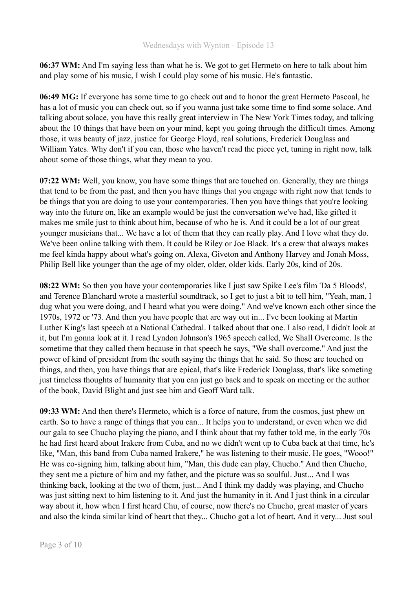**06:37 WM:** And I'm saying less than what he is. We got to get Hermeto on here to talk about him and play some of his music, I wish I could play some of his music. He's fantastic.

**06:49 MG:** If everyone has some time to go check out and to honor the great Hermeto Pascoal, he has a lot of music you can check out, so if you wanna just take some time to find some solace. And talking about solace, you have this really great interview in The New York Times today, and talking about the 10 things that have been on your mind, kept you going through the difficult times. Among those, it was beauty of jazz, justice for George Floyd, real solutions, Frederick Douglass and William Yates. Why don't if you can, those who haven't read the piece yet, tuning in right now, talk about some of those things, what they mean to you.

**07:22 WM:** Well, you know, you have some things that are touched on. Generally, they are things that tend to be from the past, and then you have things that you engage with right now that tends to be things that you are doing to use your contemporaries. Then you have things that you're looking way into the future on, like an example would be just the conversation we've had, like gifted it makes me smile just to think about him, because of who he is. And it could be a lot of our great younger musicians that... We have a lot of them that they can really play. And I love what they do. We've been online talking with them. It could be Riley or Joe Black. It's a crew that always makes me feel kinda happy about what's going on. Alexa, Giveton and Anthony Harvey and Jonah Moss, Philip Bell like younger than the age of my older, older, older kids. Early 20s, kind of 20s.

**08:22 WM:** So then you have your contemporaries like I just saw Spike Lee's film 'Da 5 Bloods', and Terence Blanchard wrote a masterful soundtrack, so I get to just a bit to tell him, "Yeah, man, I dug what you were doing, and I heard what you were doing." And we've known each other since the 1970s, 1972 or '73. And then you have people that are way out in... I've been looking at Martin Luther King's last speech at a National Cathedral. I talked about that one. I also read, I didn't look at it, but I'm gonna look at it. I read Lyndon Johnson's 1965 speech called, We Shall Overcome. Is the sometime that they called them because in that speech he says, "We shall overcome." And just the power of kind of president from the south saying the things that he said. So those are touched on things, and then, you have things that are epical, that's like Frederick Douglass, that's like someting just timeless thoughts of humanity that you can just go back and to speak on meeting or the author of the book, David Blight and just see him and Geoff Ward talk.

**09:33 WM:** And then there's Hermeto, which is a force of nature, from the cosmos, just phew on earth. So to have a range of things that you can... It helps you to understand, or even when we did our gala to see Chucho playing the piano, and I think about that my father told me, in the early 70s he had first heard about Irakere from Cuba, and no we didn't went up to Cuba back at that time, he's like, "Man, this band from Cuba named Irakere," he was listening to their music. He goes, "Wooo!" He was co-signing him, talking about him, "Man, this dude can play, Chucho." And then Chucho, they sent me a picture of him and my father, and the picture was so soulful. Just... And I was thinking back, looking at the two of them, just... And I think my daddy was playing, and Chucho was just sitting next to him listening to it. And just the humanity in it. And I just think in a circular way about it, how when I first heard Chu, of course, now there's no Chucho, great master of years and also the kinda similar kind of heart that they... Chucho got a lot of heart. And it very... Just soul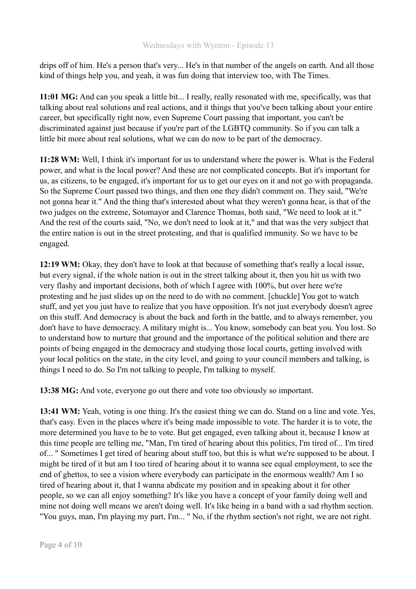drips off of him. He's a person that's very... He's in that number of the angels on earth. And all those kind of things help you, and yeah, it was fun doing that interview too, with The Times.

**11:01 MG:** And can you speak a little bit... I really, really resonated with me, specifically, was that talking about real solutions and real actions, and it things that you've been talking about your entire career, but specifically right now, even Supreme Court passing that important, you can't be discriminated against just because if you're part of the LGBTQ community. So if you can talk a little bit more about real solutions, what we can do now to be part of the democracy.

**11:28 WM:** Well, I think it's important for us to understand where the power is. What is the Federal power, and what is the local power? And these are not complicated concepts. But it's important for us, as citizens, to be engaged, it's important for us to get our eyes on it and not go with propaganda. So the Supreme Court passed two things, and then one they didn't comment on. They said, "We're not gonna hear it." And the thing that's interested about what they weren't gonna hear, is that of the two judges on the extreme, Sotomayor and Clarence Thomas, both said, "We need to look at it." And the rest of the courts said, "No, we don't need to look at it," and that was the very subject that the entire nation is out in the street protesting, and that is qualified immunity. So we have to be engaged.

**12:19 WM:** Okay, they don't have to look at that because of something that's really a local issue, but every signal, if the whole nation is out in the street talking about it, then you hit us with two very flashy and important decisions, both of which I agree with 100%, but over here we're protesting and he just slides up on the need to do with no comment. [chuckle] You got to watch stuff, and yet you just have to realize that you have opposition. It's not just everybody doesn't agree on this stuff. And democracy is about the back and forth in the battle, and to always remember, you don't have to have democracy. A military might is... You know, somebody can beat you. You lost. So to understand how to nurture that ground and the importance of the political solution and there are points of being engaged in the democracy and studying those local courts, getting involved with your local politics on the state, in the city level, and going to your council members and talking, is things I need to do. So I'm not talking to people, I'm talking to myself.

**13:38 MG:** And vote, everyone go out there and vote too obviously so important.

**13:41 WM:** Yeah, voting is one thing. It's the easiest thing we can do. Stand on a line and vote. Yes, that's easy. Even in the places where it's being made impossible to vote. The harder it is to vote, the more determined you have to be to vote. But get engaged, even talking about it, because I know at this time people are telling me, "Man, I'm tired of hearing about this politics, I'm tired of... I'm tired of... " Sometimes I get tired of hearing about stuff too, but this is what we're supposed to be about. I might be tired of it but am I too tired of hearing about it to wanna see equal employment, to see the end of ghettos, to see a vision where everybody can participate in the enormous wealth? Am I so tired of hearing about it, that I wanna abdicate my position and in speaking about it for other people, so we can all enjoy something? It's like you have a concept of your family doing well and mine not doing well means we aren't doing well. It's like being in a band with a sad rhythm section. "You guys, man, I'm playing my part, I'm... " No, if the rhythm section's not right, we are not right.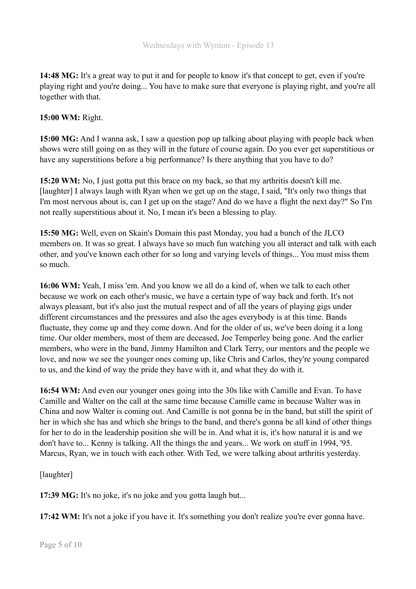**14:48 MG:** It's a great way to put it and for people to know it's that concept to get, even if you're playing right and you're doing... You have to make sure that everyone is playing right, and you're all together with that.

**15:00 WM:** Right.

**15:00 MG:** And I wanna ask, I saw a question pop up talking about playing with people back when shows were still going on as they will in the future of course again. Do you ever get superstitious or have any superstitions before a big performance? Is there anything that you have to do?

**15:20 WM:** No, I just gotta put this brace on my back, so that my arthritis doesn't kill me. [laughter] I always laugh with Ryan when we get up on the stage, I said, "It's only two things that I'm most nervous about is, can I get up on the stage? And do we have a flight the next day?" So I'm not really superstitious about it. No, I mean it's been a blessing to play.

**15:50 MG:** Well, even on Skain's Domain this past Monday, you had a bunch of the JLCO members on. It was so great. I always have so much fun watching you all interact and talk with each other, and you've known each other for so long and varying levels of things... You must miss them so much.

**16:06 WM:** Yeah, I miss 'em. And you know we all do a kind of, when we talk to each other because we work on each other's music, we have a certain type of way back and forth. It's not always pleasant, but it's also just the mutual respect and of all the years of playing gigs under different circumstances and the pressures and also the ages everybody is at this time. Bands fluctuate, they come up and they come down. And for the older of us, we've been doing it a long time. Our older members, most of them are deceased, Joe Temperley being gone. And the earlier members, who were in the band, Jimmy Hamilton and Clark Terry, our mentors and the people we love, and now we see the younger ones coming up, like Chris and Carlos, they're young compared to us, and the kind of way the pride they have with it, and what they do with it.

**16:54 WM:** And even our younger ones going into the 30s like with Camille and Evan. To have Camille and Walter on the call at the same time because Camille came in because Walter was in China and now Walter is coming out. And Camille is not gonna be in the band, but still the spirit of her in which she has and which she brings to the band, and there's gonna be all kind of other things for her to do in the leadership position she will be in. And what it is, it's how natural it is and we don't have to... Kenny is talking. All the things the and years... We work on stuff in 1994, '95. Marcus, Ryan, we in touch with each other. With Ted, we were talking about arthritis yesterday.

[laughter]

**17:39 MG:** It's no joke, it's no joke and you gotta laugh but...

**17:42 WM:** It's not a joke if you have it. It's something you don't realize you're ever gonna have.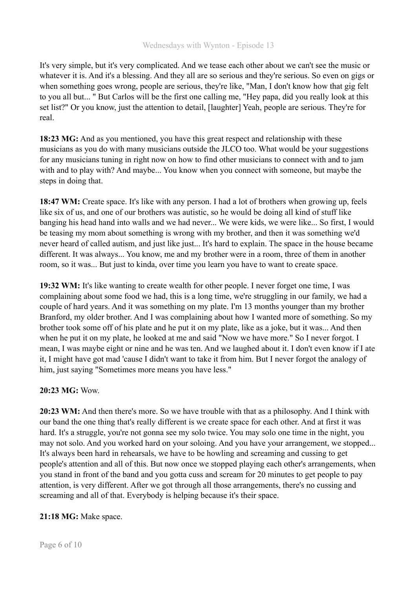#### Wednesdays with Wynton - Episode 13

It's very simple, but it's very complicated. And we tease each other about we can't see the music or whatever it is. And it's a blessing. And they all are so serious and they're serious. So even on gigs or when something goes wrong, people are serious, they're like, "Man, I don't know how that gig felt to you all but... " But Carlos will be the first one calling me, "Hey papa, did you really look at this set list?" Or you know, just the attention to detail, [laughter] Yeah, people are serious. They're for real.

**18:23 MG:** And as you mentioned, you have this great respect and relationship with these musicians as you do with many musicians outside the JLCO too. What would be your suggestions for any musicians tuning in right now on how to find other musicians to connect with and to jam with and to play with? And maybe... You know when you connect with someone, but maybe the steps in doing that.

**18:47 WM:** Create space. It's like with any person. I had a lot of brothers when growing up, feels like six of us, and one of our brothers was autistic, so he would be doing all kind of stuff like banging his head hand into walls and we had never... We were kids, we were like... So first, I would be teasing my mom about something is wrong with my brother, and then it was something we'd never heard of called autism, and just like just... It's hard to explain. The space in the house became different. It was always... You know, me and my brother were in a room, three of them in another room, so it was... But just to kinda, over time you learn you have to want to create space.

**19:32 WM:** It's like wanting to create wealth for other people. I never forget one time, I was complaining about some food we had, this is a long time, we're struggling in our family, we had a couple of hard years. And it was something on my plate. I'm 13 months younger than my brother Branford, my older brother. And I was complaining about how I wanted more of something. So my brother took some off of his plate and he put it on my plate, like as a joke, but it was... And then when he put it on my plate, he looked at me and said "Now we have more." So I never forgot. I mean, I was maybe eight or nine and he was ten. And we laughed about it. I don't even know if I ate it, I might have got mad 'cause I didn't want to take it from him. But I never forgot the analogy of him, just saying "Sometimes more means you have less."

## **20:23 MG:** Wow.

**20:23 WM:** And then there's more. So we have trouble with that as a philosophy. And I think with our band the one thing that's really different is we create space for each other. And at first it was hard. It's a struggle, you're not gonna see my solo twice. You may solo one time in the night, you may not solo. And you worked hard on your soloing. And you have your arrangement, we stopped... It's always been hard in rehearsals, we have to be howling and screaming and cussing to get people's attention and all of this. But now once we stopped playing each other's arrangements, when you stand in front of the band and you gotta cuss and scream for 20 minutes to get people to pay attention, is very different. After we got through all those arrangements, there's no cussing and screaming and all of that. Everybody is helping because it's their space.

## **21:18 MG:** Make space.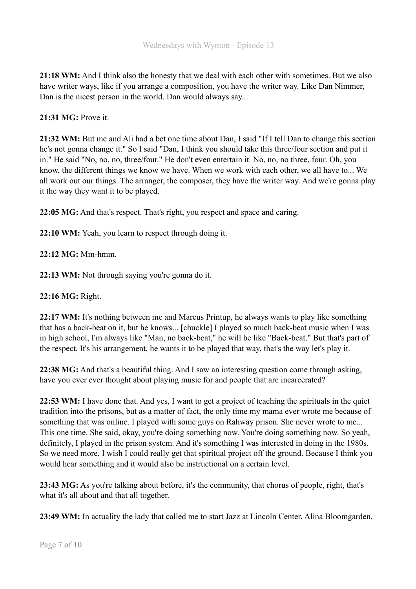**21:18 WM:** And I think also the honesty that we deal with each other with sometimes. But we also have writer ways, like if you arrange a composition, you have the writer way. Like Dan Nimmer, Dan is the nicest person in the world. Dan would always say...

**21:31 MG:** Prove it.

**21:32 WM:** But me and Ali had a bet one time about Dan, I said "If I tell Dan to change this section he's not gonna change it." So I said "Dan, I think you should take this three/four section and put it in." He said "No, no, no, three/four." He don't even entertain it. No, no, no three, four. Oh, you know, the different things we know we have. When we work with each other, we all have to... We all work out our things. The arranger, the composer, they have the writer way. And we're gonna play it the way they want it to be played.

**22:05 MG:** And that's respect. That's right, you respect and space and caring.

**22:10 WM:** Yeah, you learn to respect through doing it.

**22:12 MG:** Mm-hmm.

**22:13 WM:** Not through saying you're gonna do it.

**22:16 MG:** Right.

**22:17 WM:** It's nothing between me and Marcus Printup, he always wants to play like something that has a back-beat on it, but he knows... [chuckle] I played so much back-beat music when I was in high school, I'm always like "Man, no back-beat," he will be like "Back-beat." But that's part of the respect. It's his arrangement, he wants it to be played that way, that's the way let's play it.

**22:38 MG:** And that's a beautiful thing. And I saw an interesting question come through asking, have you ever ever thought about playing music for and people that are incarcerated?

**22:53 WM:** I have done that. And yes, I want to get a project of teaching the spirituals in the quiet tradition into the prisons, but as a matter of fact, the only time my mama ever wrote me because of something that was online. I played with some guys on Rahway prison. She never wrote to me... This one time. She said, okay, you're doing something now. You're doing something now. So yeah, definitely, I played in the prison system. And it's something I was interested in doing in the 1980s. So we need more, I wish I could really get that spiritual project off the ground. Because I think you would hear something and it would also be instructional on a certain level.

**23:43 MG:** As you're talking about before, it's the community, that chorus of people, right, that's what it's all about and that all together.

**23:49 WM:** In actuality the lady that called me to start Jazz at Lincoln Center, Alina Bloomgarden,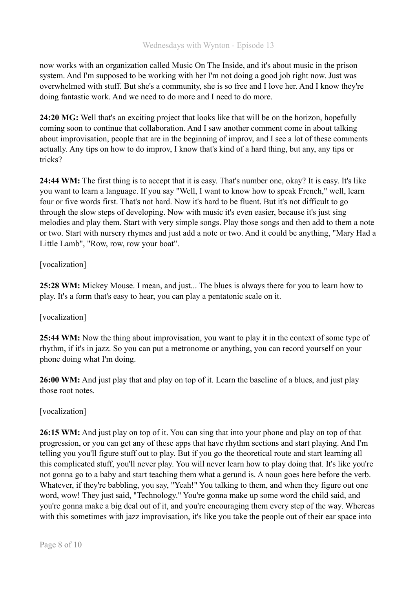now works with an organization called Music On The Inside, and it's about music in the prison system. And I'm supposed to be working with her I'm not doing a good job right now. Just was overwhelmed with stuff. But she's a community, she is so free and I love her. And I know they're doing fantastic work. And we need to do more and I need to do more.

**24:20 MG:** Well that's an exciting project that looks like that will be on the horizon, hopefully coming soon to continue that collaboration. And I saw another comment come in about talking about improvisation, people that are in the beginning of improv, and I see a lot of these comments actually. Any tips on how to do improv, I know that's kind of a hard thing, but any, any tips or tricks?

**24:44 WM:** The first thing is to accept that it is easy. That's number one, okay? It is easy. It's like you want to learn a language. If you say "Well, I want to know how to speak French," well, learn four or five words first. That's not hard. Now it's hard to be fluent. But it's not difficult to go through the slow steps of developing. Now with music it's even easier, because it's just sing melodies and play them. Start with very simple songs. Play those songs and then add to them a note or two. Start with nursery rhymes and just add a note or two. And it could be anything, "Mary Had a Little Lamb", "Row, row, row your boat".

#### [vocalization]

**25:28 WM:** Mickey Mouse. I mean, and just... The blues is always there for you to learn how to play. It's a form that's easy to hear, you can play a pentatonic scale on it.

## [vocalization]

**25:44 WM:** Now the thing about improvisation, you want to play it in the context of some type of rhythm, if it's in jazz. So you can put a metronome or anything, you can record yourself on your phone doing what I'm doing.

**26:00 WM:** And just play that and play on top of it. Learn the baseline of a blues, and just play those root notes.

## [vocalization]

**26:15 WM:** And just play on top of it. You can sing that into your phone and play on top of that progression, or you can get any of these apps that have rhythm sections and start playing. And I'm telling you you'll figure stuff out to play. But if you go the theoretical route and start learning all this complicated stuff, you'll never play. You will never learn how to play doing that. It's like you're not gonna go to a baby and start teaching them what a gerund is. A noun goes here before the verb. Whatever, if they're babbling, you say, "Yeah!" You talking to them, and when they figure out one word, wow! They just said, "Technology." You're gonna make up some word the child said, and you're gonna make a big deal out of it, and you're encouraging them every step of the way. Whereas with this sometimes with jazz improvisation, it's like you take the people out of their ear space into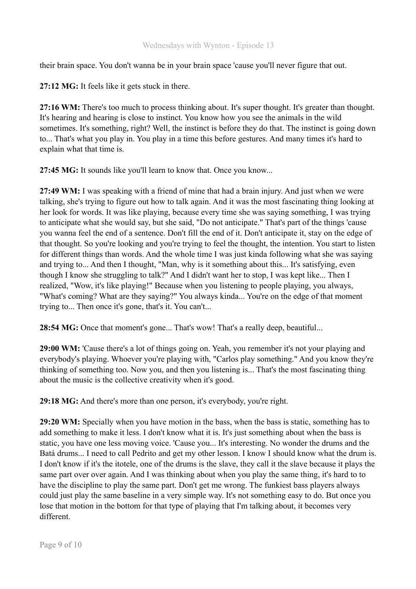their brain space. You don't wanna be in your brain space 'cause you'll never figure that out.

**27:12 MG:** It feels like it gets stuck in there.

**27:16 WM:** There's too much to process thinking about. It's super thought. It's greater than thought. It's hearing and hearing is close to instinct. You know how you see the animals in the wild sometimes. It's something, right? Well, the instinct is before they do that. The instinct is going down to... That's what you play in. You play in a time this before gestures. And many times it's hard to explain what that time is.

**27:45 MG:** It sounds like you'll learn to know that. Once you know...

**27:49 WM:** I was speaking with a friend of mine that had a brain injury. And just when we were talking, she's trying to figure out how to talk again. And it was the most fascinating thing looking at her look for words. It was like playing, because every time she was saying something, I was trying to anticipate what she would say, but she said, "Do not anticipate." That's part of the things 'cause you wanna feel the end of a sentence. Don't fill the end of it. Don't anticipate it, stay on the edge of that thought. So you're looking and you're trying to feel the thought, the intention. You start to listen for different things than words. And the whole time I was just kinda following what she was saying and trying to... And then I thought, "Man, why is it something about this... It's satisfying, even though I know she struggling to talk?" And I didn't want her to stop, I was kept like... Then I realized, "Wow, it's like playing!" Because when you listening to people playing, you always, "What's coming? What are they saying?" You always kinda... You're on the edge of that moment trying to... Then once it's gone, that's it. You can't...

**28:54 MG:** Once that moment's gone... That's wow! That's a really deep, beautiful...

**29:00 WM:** 'Cause there's a lot of things going on. Yeah, you remember it's not your playing and everybody's playing. Whoever you're playing with, "Carlos play something." And you know they're thinking of something too. Now you, and then you listening is... That's the most fascinating thing about the music is the collective creativity when it's good.

**29:18 MG:** And there's more than one person, it's everybody, you're right.

**29:20 WM:** Specially when you have motion in the bass, when the bass is static, something has to add something to make it less. I don't know what it is. It's just something about when the bass is static, you have one less moving voice. 'Cause you... It's interesting. No wonder the drums and the Batá drums... I need to call Pedrito and get my other lesson. I know I should know what the drum is. I don't know if it's the itotele, one of the drums is the slave, they call it the slave because it plays the same part over over again. And I was thinking about when you play the same thing, it's hard to to have the discipline to play the same part. Don't get me wrong. The funkiest bass players always could just play the same baseline in a very simple way. It's not something easy to do. But once you lose that motion in the bottom for that type of playing that I'm talking about, it becomes very different.